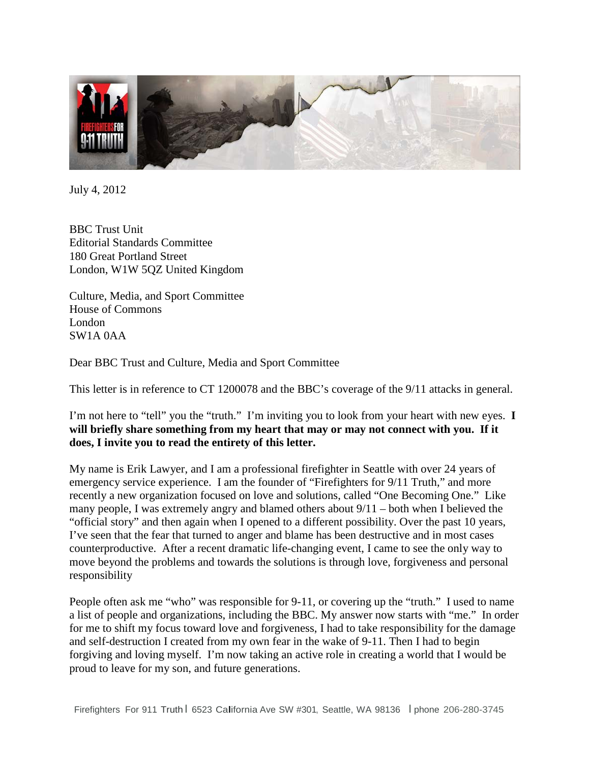

July 4, 2012

BBC Trust Unit Editorial Standards Committee 180 Great Portland Street London, W1W 5QZ United Kingdom

Culture, Media, and Sport Committee House of Commons London SW1A 0AA

Dear BBC Trust and Culture, Media and Sport Committee

This letter is in reference to CT 1200078 and the BBC's coverage of the 9/11 attacks in general.

I'm not here to "tell" you the "truth." I'm inviting you to look from your heart with new eyes. **I will briefly share something from my heart that may or may not connect with you. If it does, I invite you to read the entirety of this letter.**

My name is Erik Lawyer, and I am a professional firefighter in Seattle with over 24 years of emergency service experience. I am the founder of "Firefighters for 9/11 Truth," and more recently a new organization focused on love and solutions, called "One Becoming One." Like many people, I was extremely angry and blamed others about 9/11 – both when I believed the "official story" and then again when I opened to a different possibility. Over the past 10 years, I've seen that the fear that turned to anger and blame has been destructive and in most cases counterproductive. After a recent dramatic life-changing event, I came to see the only way to move beyond the problems and towards the solutions is through love, forgiveness and personal responsibility

People often ask me "who" was responsible for 9-11, or covering up the "truth." I used to name a list of people and organizations, including the BBC. My answer now starts with "me." In order for me to shift my focus toward love and forgiveness, I had to take responsibility for the damage and self-destruction I created from my own fear in the wake of 9-11. Then I had to begin forgiving and loving myself. I'm now taking an active role in creating a world that I would be proud to leave for my son, and future generations.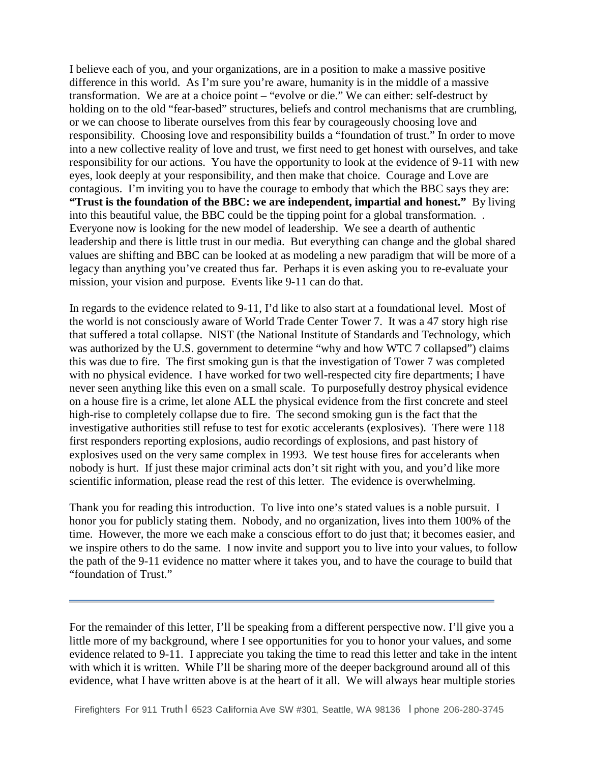I believe each of you, and your organizations, are in a position to make a massive positive difference in this world. As I'm sure you're aware, humanity is in the middle of a massive transformation. We are at a choice point – "evolve or die." We can either: self-destruct by holding on to the old "fear-based" structures, beliefs and control mechanisms that are crumbling, or we can choose to liberate ourselves from this fear by courageously choosing love and responsibility. Choosing love and responsibility builds a "foundation of trust." In order to move into a new collective reality of love and trust, we first need to get honest with ourselves, and take responsibility for our actions. You have the opportunity to look at the evidence of 9-11 with new eyes, look deeply at your responsibility, and then make that choice. Courage and Love are contagious. I'm inviting you to have the courage to embody that which the BBC says they are: **"Trust is the foundation of the BBC: we are independent, impartial and honest."** By living into this beautiful value, the BBC could be the tipping point for a global transformation. . Everyone now is looking for the new model of leadership. We see a dearth of authentic leadership and there is little trust in our media. But everything can change and the global shared values are shifting and BBC can be looked at as modeling a new paradigm that will be more of a legacy than anything you've created thus far. Perhaps it is even asking you to re-evaluate your mission, your vision and purpose. Events like 9-11 can do that.

In regards to the evidence related to 9-11, I'd like to also start at a foundational level. Most of the world is not consciously aware of World Trade Center Tower 7. It was a 47 story high rise that suffered a total collapse. NIST (the National Institute of Standards and Technology, which was authorized by the U.S. government to determine "why and how WTC 7 collapsed") claims this was due to fire. The first smoking gun is that the investigation of Tower 7 was completed with no physical evidence. I have worked for two well-respected city fire departments; I have never seen anything like this even on a small scale. To purposefully destroy physical evidence on a house fire is a crime, let alone ALL the physical evidence from the first concrete and steel high-rise to completely collapse due to fire. The second smoking gun is the fact that the investigative authorities still refuse to test for exotic accelerants (explosives). There were 118 first responders reporting explosions, audio recordings of explosions, and past history of explosives used on the very same complex in 1993. We test house fires for accelerants when nobody is hurt. If just these major criminal acts don't sit right with you, and you'd like more scientific information, please read the rest of this letter. The evidence is overwhelming.

Thank you for reading this introduction. To live into one's stated values is a noble pursuit. I honor you for publicly stating them. Nobody, and no organization, lives into them 100% of the time. However, the more we each make a conscious effort to do just that; it becomes easier, and we inspire others to do the same. I now invite and support you to live into your values, to follow the path of the 9-11 evidence no matter where it takes you, and to have the courage to build that "foundation of Trust."

For the remainder of this letter, I'll be speaking from a different perspective now. I'll give you a little more of my background, where I see opportunities for you to honor your values, and some evidence related to 9-11. I appreciate you taking the time to read this letter and take in the intent with which it is written. While I'll be sharing more of the deeper background around all of this evidence, what I have written above is at the heart of it all. We will always hear multiple stories

í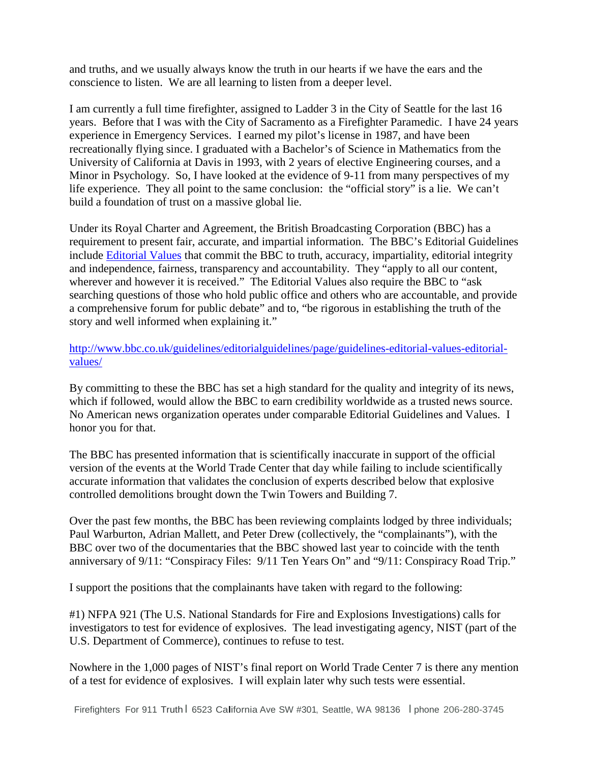and truths, and we usually always know the truth in our hearts if we have the ears and the conscience to listen. We are all learning to listen from a deeper level.

I am currently a full time firefighter, assigned to Ladder 3 in the City of Seattle for the last 16 years. Before that I was with the City of Sacramento as a Firefighter Paramedic. I have 24 years experience in Emergency Services. I earned my pilot's license in 1987, and have been recreationally flying since. I graduated with a Bachelor's of Science in Mathematics from the University of California at Davis in 1993, with 2 years of elective Engineering courses, and a Minor in Psychology. So, I have looked at the evidence of 9-11 from many perspectives of my life experience. They all point to the same conclusion: the "official story" is a lie. We can't build a foundation of trust on a massive global lie.

Under its Royal Charter and Agreement, the British Broadcasting Corporation (BBC) has a requirement to present fair, accurate, and impartial information. The BBC's Editorial Guidelines include [Editorial Values](http://www.bbc.co.uk/guidelines/editorialguidelines/page/guidelines-editorial-values-editorial-values/) that commit the BBC to truth, accuracy, impartiality, editorial integrity and independence, fairness, transparency and accountability. They "apply to all our content, wherever and however it is received." The Editorial Values also require the BBC to "ask" searching questions of those who hold public office and others who are accountable, and provide a comprehensive forum for public debate" and to, "be rigorous in establishing the truth of the story and well informed when explaining it."

[http://www.bbc.co.uk/guidelines/editorialguidelines/page/guidelines-editorial-values-editorial](http://www.bbc.co.uk/guidelines/editorialguidelines/page/guidelines-editorial-values-editorial-values/)[values/](http://www.bbc.co.uk/guidelines/editorialguidelines/page/guidelines-editorial-values-editorial-values/)

By committing to these the BBC has set a high standard for the quality and integrity of its news, which if followed, would allow the BBC to earn credibility worldwide as a trusted news source. No American news organization operates under comparable Editorial Guidelines and Values. I honor you for that.

The BBC has presented information that is scientifically inaccurate in support of the official version of the events at the World Trade Center that day while failing to include scientifically accurate information that validates the conclusion of experts described below that explosive controlled demolitions brought down the Twin Towers and Building 7.

Over the past few months, the BBC has been reviewing complaints lodged by three individuals; Paul Warburton, Adrian Mallett, and Peter Drew (collectively, the "complainants"), with the BBC over two of the documentaries that the BBC showed last year to coincide with the tenth anniversary of 9/11: "Conspiracy Files: 9/11 Ten Years On" and "9/11: Conspiracy Road Trip."

I support the positions that the complainants have taken with regard to the following:

#1) NFPA 921 (The U.S. National Standards for Fire and Explosions Investigations) calls for investigators to test for evidence of explosives. The lead investigating agency, NIST (part of the U.S. Department of Commerce), continues to refuse to test.

Nowhere in the 1,000 pages of NIST's final report on World Trade Center 7 is there any mention of a test for evidence of explosives. I will explain later why such tests were essential.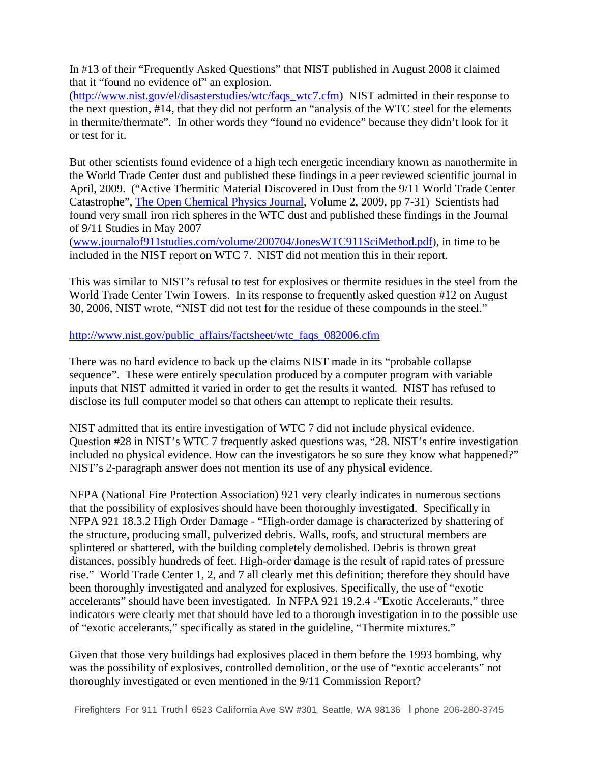In #13 of their "Frequently Asked Questions" that NIST published in August 2008 it claimed that it "found no evidence of" an explosion.

[\(http://www.nist.gov/el/disasterstudies/wtc/faqs\\_wtc7.cfm\)](http://www.nist.gov/el/disasterstudies/wtc/faqs_wtc7.cfm) NIST admitted in their response to the next question, #14, that they did not perform an "analysis of the WTC steel for the elements in thermite/thermate". In other words they "found no evidence" because they didn't look for it or test for it.

But other scientists found evidence of a high tech energetic incendiary known as nanothermite in the World Trade Center dust and published these findings in a peer reviewed scientific journal in April, 2009. ("Active Thermitic Material Discovered in Dust from the 9/11 World Trade Center Catastrophe", The [Open Chemical Physics Journal,](http://www.benthamscience.com/open/tocpj/openaccess2.htm) Volume 2, 2009, pp 7-31) Scientists had found very small iron rich spheres in the WTC dust and published these findings in the Journal of 9/11 Studies in May 2007

[\(www.journalof911studies.com/volume/200704/JonesWTC911SciMethod.pdf\)](http://www.journalof911studies.com/volume/200704/JonesWTC911SciMethod.pdf), in time to be included in the NIST report on WTC 7. NIST did not mention this in their report.

This was similar to NIST's refusal to test for explosives or thermite residues in the steel from the World Trade Center Twin Towers. In its response to frequently asked question #12 on August 30, 2006, NIST wrote, "NIST did not test for the residue of these compounds in the steel."

[http://www.nist.gov/public\\_affairs/factsheet/wtc\\_faqs\\_082006.cfm](http://www.nist.gov/public_affairs/factsheet/wtc_faqs_082006.cfm)

There was no hard evidence to back up the claims NIST made in its "probable collapse sequence". These were entirely speculation produced by a computer program with variable inputs that NIST admitted it varied in order to get the results it wanted. NIST has refused to disclose its full computer model so that others can attempt to replicate their results.

NIST admitted that its entire investigation of WTC 7 did not include physical evidence. Question #28 in NIST's WTC 7 frequently asked questions was, "28. NIST's entire investigation included no physical evidence. How can the investigators be so sure they know what happened?" NIST's 2-paragraph answer does not mention its use of any physical evidence.

NFPA (National Fire Protection Association) 921 very clearly indicates in numerous sections that the possibility of explosives should have been thoroughly investigated. Specifically in NFPA 921 18.3.2 High Order Damage - "High-order damage is characterized by shattering of the structure, producing small, pulverized debris. Walls, roofs, and structural members are splintered or shattered, with the building completely demolished. Debris is thrown great distances, possibly hundreds of feet. High-order damage is the result of rapid rates of pressure rise." World Trade Center 1, 2, and 7 all clearly met this definition; therefore they should have been thoroughly investigated and analyzed for explosives. Specifically, the use of "exotic accelerants" should have been investigated. In NFPA 921 19.2.4 -"Exotic Accelerants," three indicators were clearly met that should have led to a thorough investigation in to the possible use of "exotic accelerants," specifically as stated in the guideline, "Thermite mixtures."

Given that those very buildings had explosives placed in them before the 1993 bombing, why was the possibility of explosives, controlled demolition, or the use of "exotic accelerants" not thoroughly investigated or even mentioned in the 9/11 Commission Report?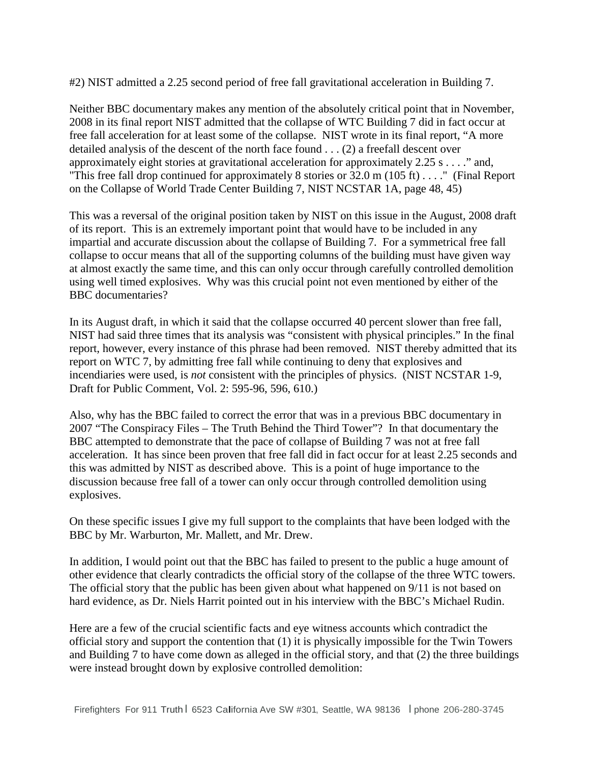#2) NIST admitted a 2.25 second period of free fall gravitational acceleration in Building 7.

Neither BBC documentary makes any mention of the absolutely critical point that in November, 2008 in its final report NIST admitted that the collapse of WTC Building 7 did in fact occur at free fall acceleration for at least some of the collapse. NIST wrote in its final report, "A more detailed analysis of the descent of the north face found . . . (2) a freefall descent over approximately eight stories at gravitational acceleration for approximately 2.25 s . . . ." and, "This free fall drop continued for approximately 8 stories or 32.0 m (105 ft) . . . ." (Final Report on the Collapse of World Trade Center Building 7, NIST NCSTAR 1A, page 48, 45)

This was a reversal of the original position taken by NIST on this issue in the August, 2008 draft of its report. This is an extremely important point that would have to be included in any impartial and accurate discussion about the collapse of Building 7. For a symmetrical free fall collapse to occur means that all of the supporting columns of the building must have given way at almost exactly the same time, and this can only occur through carefully controlled demolition using well timed explosives. Why was this crucial point not even mentioned by either of the BBC documentaries?

In its August draft, in which it said that the collapse occurred 40 percent slower than free fall, NIST had said three times that its analysis was "consistent with physical principles." In the final report, however, every instance of this phrase had been removed. NIST thereby admitted that its report on WTC 7, by admitting free fall while continuing to deny that explosives and incendiaries were used, is *not* consistent with the principles of physics. (NIST NCSTAR 1-9, Draft for Public Comment, Vol. 2: 595-96, 596, 610.)

Also, why has the BBC failed to correct the error that was in a previous BBC documentary in 2007 "The Conspiracy Files – The Truth Behind the Third Tower"? In that documentary the BBC attempted to demonstrate that the pace of collapse of Building 7 was not at free fall acceleration. It has since been proven that free fall did in fact occur for at least 2.25 seconds and this was admitted by NIST as described above. This is a point of huge importance to the discussion because free fall of a tower can only occur through controlled demolition using explosives.

On these specific issues I give my full support to the complaints that have been lodged with the BBC by Mr. Warburton, Mr. Mallett, and Mr. Drew.

In addition, I would point out that the BBC has failed to present to the public a huge amount of other evidence that clearly contradicts the official story of the collapse of the three WTC towers. The official story that the public has been given about what happened on 9/11 is not based on hard evidence, as Dr. Niels Harrit pointed out in his interview with the BBC's Michael Rudin.

Here are a few of the crucial scientific facts and eye witness accounts which contradict the official story and support the contention that (1) it is physically impossible for the Twin Towers and Building 7 to have come down as alleged in the official story, and that (2) the three buildings were instead brought down by explosive controlled demolition: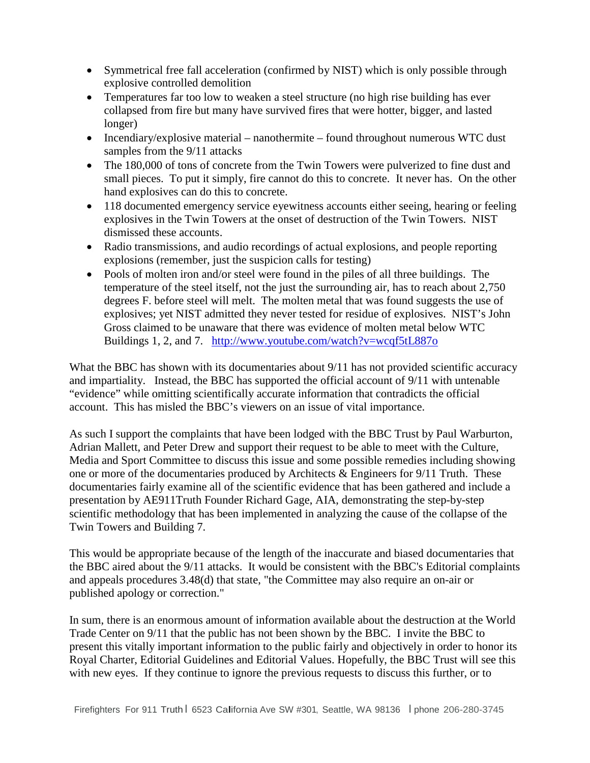- Symmetrical free fall acceleration (confirmed by NIST) which is only possible through explosive controlled demolition
- Temperatures far too low to weaken a steel structure (no high rise building has ever collapsed from fire but many have survived fires that were hotter, bigger, and lasted longer)
- Incendiary/explosive material nanothermite found throughout numerous WTC dust samples from the 9/11 attacks
- The 180,000 of tons of concrete from the Twin Towers were pulverized to fine dust and small pieces. To put it simply, fire cannot do this to concrete. It never has. On the other hand explosives can do this to concrete.
- 118 documented emergency service eyewitness accounts either seeing, hearing or feeling explosives in the Twin Towers at the onset of destruction of the Twin Towers. NIST dismissed these accounts.
- Radio transmissions, and audio recordings of actual explosions, and people reporting explosions (remember, just the suspicion calls for testing)
- Pools of molten iron and/or steel were found in the piles of all three buildings. The temperature of the steel itself, not the just the surrounding air, has to reach about 2,750 degrees F. before steel will melt. The molten metal that was found suggests the use of explosives; yet NIST admitted they never tested for residue of explosives. NIST's John Gross claimed to be unaware that there was evidence of molten metal below WTC Buildings 1, 2, and 7. <http://www.youtube.com/watch?v=wcqf5tL887o>

What the BBC has shown with its documentaries about  $9/11$  has not provided scientific accuracy and impartiality. Instead, the BBC has supported the official account of 9/11 with untenable "evidence" while omitting scientifically accurate information that contradicts the official account. This has misled the BBC's viewers on an issue of vital importance.

As such I support the complaints that have been lodged with the BBC Trust by Paul Warburton, Adrian Mallett, and Peter Drew and support their request to be able to meet with the Culture, Media and Sport Committee to discuss this issue and some possible remedies including showing one or more of the documentaries produced by Architects & Engineers for 9/11 Truth. These documentaries fairly examine all of the scientific evidence that has been gathered and include a presentation by AE911Truth Founder Richard Gage, AIA, demonstrating the step-by-step scientific methodology that has been implemented in analyzing the cause of the collapse of the Twin Towers and Building 7.

This would be appropriate because of the length of the inaccurate and biased documentaries that the BBC aired about the 9/11 attacks. It would be consistent with the BBC's Editorial complaints and appeals procedures 3.48(d) that state, "the Committee may also require an on-air or published apology or correction."

In sum, there is an enormous amount of information available about the destruction at the World Trade Center on 9/11 that the public has not been shown by the BBC. I invite the BBC to present this vitally important information to the public fairly and objectively in order to honor its Royal Charter, Editorial Guidelines and Editorial Values. Hopefully, the BBC Trust will see this with new eyes. If they continue to ignore the previous requests to discuss this further, or to